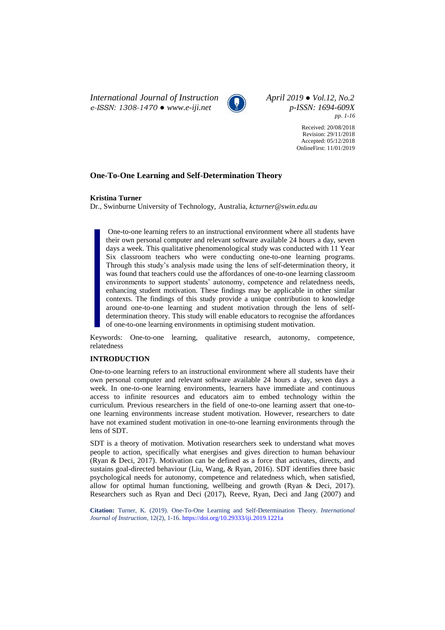*International Journal of Instruction April 2019 ● Vol.12, No.2 e-ISSN: 1308-1470 ● [www.e-iji.net](http://www.e-iji.net/) p-ISSN: 1694-609X*



*pp. 1-16*

Received: 20/08/2018 Revision: 29/11/2018 Accepted: 05/12/2018 OnlineFirst: 11/01/2019

# **One-To-One Learning and Self-Determination Theory**

### **Kristina Turner**

Dr., Swinburne University of Technology, Australia, *kcturner@swin.edu.au*

One-to-one learning refers to an instructional environment where all students have their own personal computer and relevant software available 24 hours a day, seven days a week. This qualitative phenomenological study was conducted with 11 Year Six classroom teachers who were conducting one-to-one learning programs. Through this study's analysis made using the lens of self-determination theory, it was found that teachers could use the affordances of one-to-one learning classroom environments to support students' autonomy, competence and relatedness needs, enhancing student motivation. These findings may be applicable in other similar contexts. The findings of this study provide a unique contribution to knowledge around one-to-one learning and student motivation through the lens of selfdetermination theory. This study will enable educators to recognise the affordances of one-to-one learning environments in optimising student motivation.

Keywords: One-to-one learning, qualitative research, autonomy, competence, relatedness

## **INTRODUCTION**

One-to-one learning refers to an instructional environment where all students have their own personal computer and relevant software available 24 hours a day, seven days a week. In one-to-one learning environments, learners have immediate and continuous access to infinite resources and educators aim to embed technology within the curriculum. Previous researchers in the field of one-to-one learning assert that one-toone learning environments increase student motivation. However, researchers to date have not examined student motivation in one-to-one learning environments through the lens of SDT.

SDT is a theory of motivation. Motivation researchers seek to understand what moves people to action, specifically what energises and gives direction to human behaviour (Ryan & Deci, 2017). Motivation can be defined as a force that activates, directs, and sustains goal-directed behaviour (Liu, Wang, & Ryan, 2016). SDT identifies three basic psychological needs for autonomy, competence and relatedness which, when satisfied, allow for optimal human functioning, wellbeing and growth (Ryan & Deci, 2017). Researchers such as Ryan and Deci (2017), Reeve, Ryan, Deci and Jang (2007) and

**Citation:** Turner, K. (2019). One-To-One Learning and Self-Determination Theory. *International Journal of Instruction*, 12(2), 1-16. <https://doi.org/10.29333/iji.2019.1221a>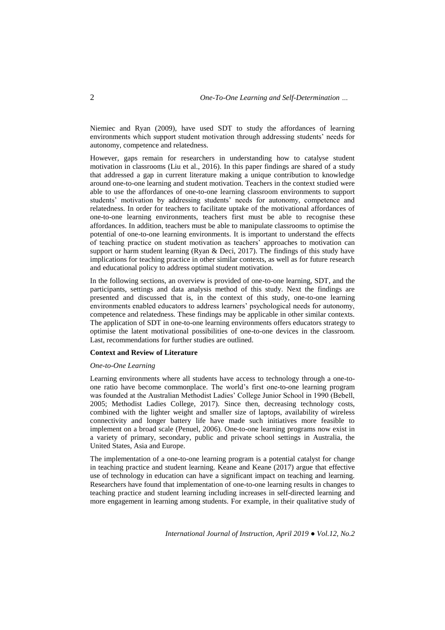Niemiec and Ryan (2009), have used SDT to study the affordances of learning environments which support student motivation through addressing students' needs for autonomy, competence and relatedness.

However, gaps remain for researchers in understanding how to catalyse student motivation in classrooms (Liu et al., 2016). In this paper findings are shared of a study that addressed a gap in current literature making a unique contribution to knowledge around one-to-one learning and student motivation. Teachers in the context studied were able to use the affordances of one-to-one learning classroom environments to support students' motivation by addressing students' needs for autonomy, competence and relatedness. In order for teachers to facilitate uptake of the motivational affordances of one-to-one learning environments, teachers first must be able to recognise these affordances. In addition, teachers must be able to manipulate classrooms to optimise the potential of one-to-one learning environments. It is important to understand the effects of teaching practice on student motivation as teachers' approaches to motivation can support or harm student learning (Ryan & Deci, 2017). The findings of this study have implications for teaching practice in other similar contexts, as well as for future research and educational policy to address optimal student motivation.

In the following sections, an overview is provided of one-to-one learning, SDT, and the participants, settings and data analysis method of this study. Next the findings are presented and discussed that is, in the context of this study, one-to-one learning environments enabled educators to address learners' psychological needs for autonomy, competence and relatedness. These findings may be applicable in other similar contexts. The application of SDT in one-to-one learning environments offers educators strategy to optimise the latent motivational possibilities of one-to-one devices in the classroom. Last, recommendations for further studies are outlined.

### **Context and Review of Literature**

## *One-to-One Learning*

Learning environments where all students have access to technology through a one-toone ratio have become commonplace. The world's first one-to-one learning program was founded at the Australian Methodist Ladies' College Junior School in 1990 (Bebell, 2005; Methodist Ladies College, 2017). Since then, decreasing technology costs, combined with the lighter weight and smaller size of laptops, availability of wireless connectivity and longer battery life have made such initiatives more feasible to implement on a broad scale (Penuel, 2006). One-to-one learning programs now exist in a variety of primary, secondary, public and private school settings in Australia, the United States, Asia and Europe.

The implementation of a one-to-one learning program is a potential catalyst for change in teaching practice and student learning. Keane and Keane (2017) argue that effective use of technology in education can have a significant impact on teaching and learning. Researchers have found that implementation of one-to-one learning results in changes to teaching practice and student learning including increases in self-directed learning and more engagement in learning among students. For example, in their qualitative study of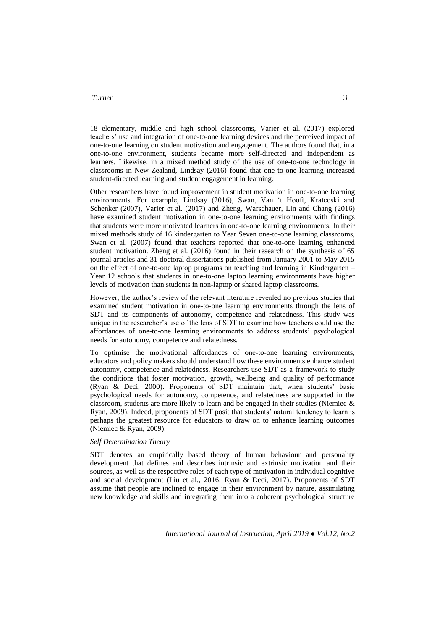18 elementary, middle and high school classrooms, Varier et al. (2017) explored teachers' use and integration of one-to-one learning devices and the perceived impact of one-to-one learning on student motivation and engagement. The authors found that, in a one-to-one environment, students became more self-directed and independent as learners. Likewise, in a mixed method study of the use of one-to-one technology in classrooms in New Zealand, Lindsay (2016) found that one-to-one learning increased student-directed learning and student engagement in learning.

Other researchers have found improvement in student motivation in one-to-one learning environments. For example, Lindsay (2016), Swan, Van 't Hooft, Kratcoski and Schenker (2007), Varier et al. (2017) and Zheng, [Warschauer,](http://journals.sagepub.com.ezproxy.lib.swin.edu.au/author/Warschauer%2C+Mark) [Lin](http://journals.sagepub.com.ezproxy.lib.swin.edu.au/author/Lin%2C+Chin-Hsi) and Chang (2016) have examined student motivation in one-to-one learning environments with findings that students were more motivated learners in one-to-one learning environments. In their mixed methods study of 16 kindergarten to Year Seven one-to-one learning classrooms, Swan et al. (2007) found that teachers reported that one-to-one learning enhanced student motivation. Zheng et al. (2016) found in their research on the synthesis of 65 journal articles and 31 doctoral dissertations published from January 2001 to May 2015 on the effect of one-to-one laptop programs on teaching and learning in Kindergarten – Year 12 schools that students in one-to-one laptop learning environments have higher levels of motivation than students in non-laptop or shared laptop classrooms.

However, the author's review of the relevant literature revealed no previous studies that examined student motivation in one-to-one learning environments through the lens of SDT and its components of autonomy, competence and relatedness. This study was unique in the researcher's use of the lens of SDT to examine how teachers could use the affordances of one-to-one learning environments to address students' psychological needs for autonomy, competence and relatedness.

To optimise the motivational affordances of one-to-one learning environments, educators and policy makers should understand how these environments enhance student autonomy, competence and relatedness. Researchers use SDT as a framework to study the conditions that foster motivation, growth, wellbeing and quality of performance (Ryan & Deci, 2000). Proponents of SDT maintain that, when students' basic psychological needs for autonomy, competence, and relatedness are supported in the classroom, students are more likely to learn and be engaged in their studies (Niemiec & Ryan, 2009). Indeed, proponents of SDT posit that students' natural tendency to learn is perhaps the greatest resource for educators to draw on to enhance learning outcomes (Niemiec & Ryan, 2009).

### *Self Determination Theory*

SDT denotes an empirically based theory of human behaviour and personality development that defines and describes intrinsic and extrinsic motivation and their sources, as well as the respective roles of each type of motivation in individual cognitive and social development (Liu et al., 2016; Ryan & Deci, 2017). Proponents of SDT assume that people are inclined to engage in their environment by nature, assimilating new knowledge and skills and integrating them into a coherent psychological structure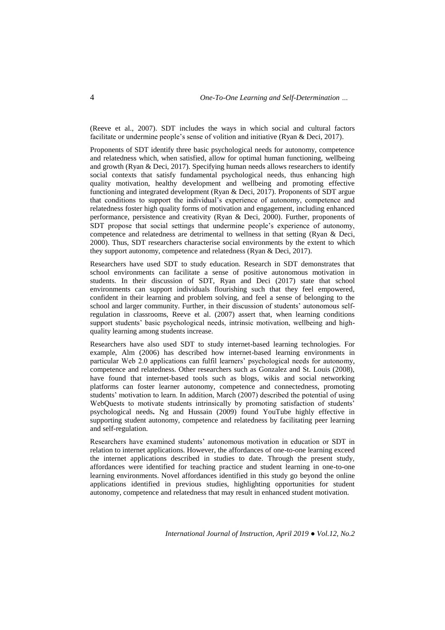(Reeve et al., 2007). SDT includes the ways in which social and cultural factors facilitate or undermine people's sense of volition and initiative (Ryan & Deci, 2017).

Proponents of SDT identify three basic psychological needs for autonomy, competence and relatedness which, when satisfied, allow for optimal human functioning, wellbeing and growth (Ryan & Deci, 2017). Specifying human needs allows researchers to identify social contexts that satisfy fundamental psychological needs, thus enhancing high quality motivation, healthy development and wellbeing and promoting effective functioning and integrated development (Ryan & Deci, 2017). Proponents of SDT argue that conditions to support the individual's experience of autonomy, competence and relatedness foster high quality forms of motivation and engagement, including enhanced performance, persistence and creativity (Ryan & Deci, 2000). Further, proponents of SDT propose that social settings that undermine people's experience of autonomy, competence and relatedness are detrimental to wellness in that setting (Ryan & Deci, 2000). Thus, SDT researchers characterise social environments by the extent to which they support autonomy, competence and relatedness (Ryan & Deci, 2017).

Researchers have used SDT to study education. Research in SDT demonstrates that school environments can facilitate a sense of positive autonomous motivation in students. In their discussion of SDT, Ryan and Deci (2017) state that school environments can support individuals flourishing such that they feel empowered, confident in their learning and problem solving, and feel a sense of belonging to the school and larger community. Further, in their discussion of students' autonomous selfregulation in classrooms, Reeve et al. (2007) assert that, when learning conditions support students' basic psychological needs, intrinsic motivation, wellbeing and highquality learning among students increase.

Researchers have also used SDT to study internet-based learning technologies. For example, Alm (2006) has described how internet-based learning environments in particular Web 2.0 applications can fulfil learners' psychological needs for autonomy, competence and relatedness. Other researchers such as Gonzalez and St. Louis (2008), have found that internet-based tools such as blogs, wikis and social networking platforms can foster learner autonomy, competence and connectedness, promoting students' motivation to learn. In addition, March (2007) described the potential of using WebQuests to motivate students intrinsically by promoting satisfaction of students' psychological needs**.** Ng and Hussain (2009) found YouTube highly effective in supporting student autonomy, competence and relatedness by facilitating peer learning and self-regulation.

Researchers have examined students' autonomous motivation in education or SDT in relation to internet applications. However, the affordances of one-to-one learning exceed the internet applications described in studies to date. Through the present study, affordances were identified for teaching practice and student learning in one-to-one learning environments. Novel affordances identified in this study go beyond the online applications identified in previous studies, highlighting opportunities for student autonomy, competence and relatedness that may result in enhanced student motivation.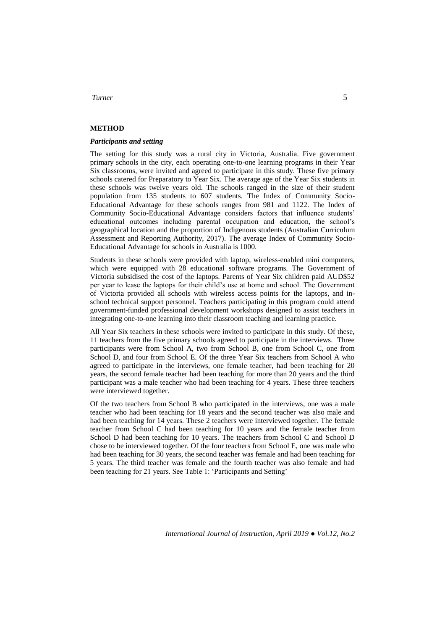# **METHOD**

### *Participants and setting*

The setting for this study was a rural city in Victoria, Australia. Five government primary schools in the city, each operating one-to-one learning programs in their Year Six classrooms, were invited and agreed to participate in this study. These five primary schools catered for Preparatory to Year Six. The average age of the Year Six students in these schools was twelve years old. The schools ranged in the size of their student population from 135 students to 607 students. The Index of Community Socio-Educational Advantage for these schools ranges from 981 and 1122. The Index of Community Socio-Educational Advantage considers factors that influence students' educational outcomes including parental occupation and education, the school's geographical location and the proportion of Indigenous students (Australian Curriculum Assessment and Reporting Authority, 2017). The average Index of Community Socio-Educational Advantage for schools in Australia is 1000.

Students in these schools were provided with laptop, wireless-enabled mini computers, which were equipped with 28 educational software programs. The Government of Victoria subsidised the cost of the laptops. Parents of Year Six children paid AUD\$52 per year to lease the laptops for their child's use at home and school. The Government of Victoria provided all schools with wireless access points for the laptops, and inschool technical support personnel. Teachers participating in this program could attend government-funded professional development workshops designed to assist teachers in integrating one-to-one learning into their classroom teaching and learning practice.

All Year Six teachers in these schools were invited to participate in this study. Of these, 11 teachers from the five primary schools agreed to participate in the interviews. Three participants were from School A, two from School B, one from School C, one from School D, and four from School E. Of the three Year Six teachers from School A who agreed to participate in the interviews, one female teacher, had been teaching for 20 years, the second female teacher had been teaching for more than 20 years and the third participant was a male teacher who had been teaching for 4 years. These three teachers were interviewed together.

Of the two teachers from School B who participated in the interviews, one was a male teacher who had been teaching for 18 years and the second teacher was also male and had been teaching for 14 years. These 2 teachers were interviewed together. The female teacher from School C had been teaching for 10 years and the female teacher from School D had been teaching for 10 years. The teachers from School C and School D chose to be interviewed together. Of the four teachers from School E, one was male who had been teaching for 30 years, the second teacher was female and had been teaching for 5 years. The third teacher was female and the fourth teacher was also female and had been teaching for 21 years. See Table 1: 'Participants and Setting'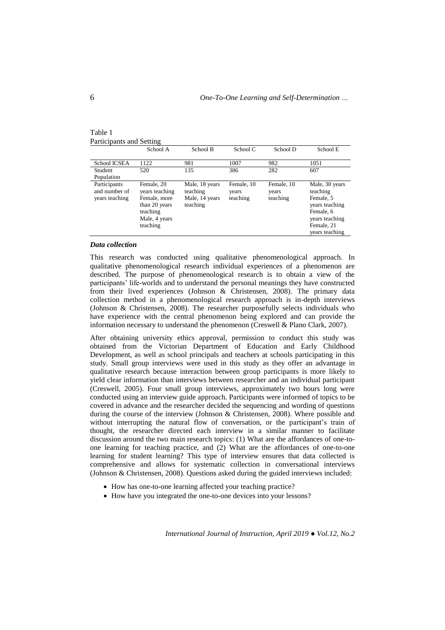| Table 1 |  |                          |
|---------|--|--------------------------|
|         |  | Participants and Setting |

|                                                 | School A                                                                                               | School B                                                 | School C                        | School D                        | School E                                                                                                                 |
|-------------------------------------------------|--------------------------------------------------------------------------------------------------------|----------------------------------------------------------|---------------------------------|---------------------------------|--------------------------------------------------------------------------------------------------------------------------|
| School ICSEA                                    | 1122                                                                                                   | 981                                                      | 1007                            | 982                             | 1051                                                                                                                     |
| Student<br>Population                           | 520                                                                                                    | 135                                                      | 386                             | 282                             | 607                                                                                                                      |
| Participants<br>and number of<br>years teaching | Female, 20<br>years teaching<br>Female, more<br>than 20 years<br>teaching<br>Male, 4 years<br>teaching | Male, 18 years<br>teaching<br>Male, 14 years<br>teaching | Female, 10<br>years<br>teaching | Female, 10<br>years<br>teaching | Male, 30 years<br>teaching<br>Female, 5<br>years teaching<br>Female, 6<br>years teaching<br>Female, 21<br>years teaching |

#### *Data collection*

This research was conducted using qualitative phenomenological approach. In qualitative phenomenological research individual experiences of a phenomenon are described. The purpose of phenomenological research is to obtain a view of the participants' life-worlds and to understand the personal meanings they have constructed from their lived experiences (Johnson & Christensen, 2008). The primary data collection method in a phenomenological research approach is in-depth interviews (Johnson & Christensen, 2008). The researcher purposefully selects individuals who have experience with the central phenomenon being explored and can provide the information necessary to understand the phenomenon (Creswell & Plano Clark, 2007).

After obtaining university ethics approval, permission to conduct this study was obtained from the Victorian Department of Education and Early Childhood Development, as well as school principals and teachers at schools participating in this study. Small group interviews were used in this study as they offer an advantage in qualitative research because interaction between group participants is more likely to yield clear information than interviews between researcher and an individual participant (Creswell, 2005). Four small group interviews, approximately two hours long were conducted using an interview guide approach. Participants were informed of topics to be covered in advance and the researcher decided the sequencing and wording of questions during the course of the interview (Johnson & Christensen, 2008). Where possible and without interrupting the natural flow of conversation, or the participant's train of thought, the researcher directed each interview in a similar manner to facilitate discussion around the two main research topics: (1) What are the affordances of one-toone learning for teaching practice, and (2) What are the affordances of one-to-one learning for student learning? This type of interview ensures that data collected is comprehensive and allows for systematic collection in conversational interviews (Johnson & Christensen, 2008). Questions asked during the guided interviews included:

- How has one-to-one learning affected your teaching practice?
- How have you integrated the one-to-one devices into your lessons?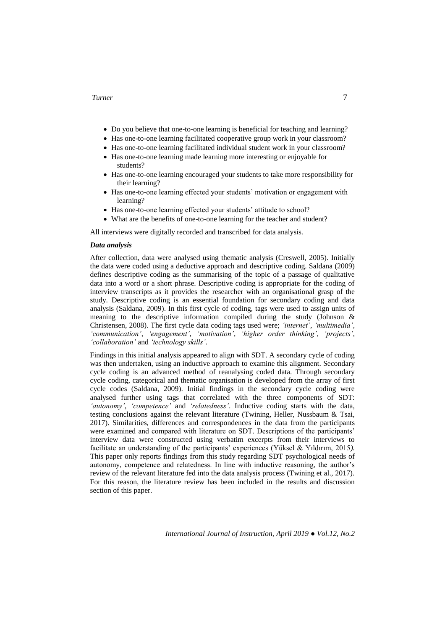- Do you believe that one-to-one learning is beneficial for teaching and learning?
- Has one-to-one learning facilitated cooperative group work in your classroom?
- Has one-to-one learning facilitated individual student work in your classroom?
- Has one-to-one learning made learning more interesting or enjoyable for students?
- Has one-to-one learning encouraged your students to take more responsibility for their learning?
- Has one-to-one learning effected your students' motivation or engagement with learning?
- Has one-to-one learning effected your students' attitude to school?
- What are the benefits of one-to-one learning for the teacher and student?

All interviews were digitally recorded and transcribed for data analysis.

#### *Data analysis*

After collection, data were analysed using thematic analysis (Creswell, 2005). Initially the data were coded using a deductive approach and descriptive coding. Saldana (2009) defines descriptive coding as the summarising of the topic of a passage of qualitative data into a word or a short phrase. Descriptive coding is appropriate for the coding of interview transcripts as it provides the researcher with an organisational grasp of the study. Descriptive coding is an essential foundation for secondary coding and data analysis (Saldana, 2009). In this first cycle of coding, tags were used to assign units of meaning to the descriptive information compiled during the study (Johnson & Christensen, 2008). The first cycle data coding tags used were; *'internet'*, *'multimedia'*, *'communication'*, *'engagement'*, *'motivation'*, *'higher order thinking'*, *'projects'*, *'collaboration'* and *'technology skills'*.

Findings in this initial analysis appeared to align with SDT. A secondary cycle of coding was then undertaken, using an inductive approach to examine this alignment. Secondary cycle coding is an advanced method of reanalysing coded data. Through secondary cycle coding, categorical and thematic organisation is developed from the array of first cycle codes (Saldana, 2009). Initial findings in the secondary cycle coding were analysed further using tags that correlated with the three components of SDT: *'autonomy'*, *'competence'* and *'relatedness'*. Inductive coding starts with the data, testing conclusions against the relevant literature (Twining, Heller, Nussbaum & Tsai, 2017). Similarities, differences and correspondences in the data from the participants were examined and compared with literature on SDT. Descriptions of the participants' interview data were constructed using verbatim excerpts from their interviews to facilitate an understanding of the participants' experiences (Yüksel & Yıldırım, 2015*).* This paper only reports findings from this study regarding SDT psychological needs of autonomy, competence and relatedness. In line with inductive reasoning, the author's review of the relevant literature fed into the data analysis process (Twining et al., 2017). For this reason, the literature review has been included in the results and discussion section of this paper.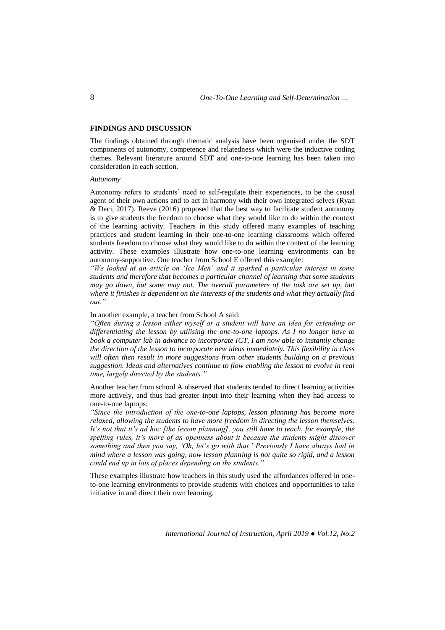### **FINDINGS AND DISCUSSION**

The findings obtained through thematic analysis have been organised under the SDT components of autonomy, competence and relatedness which were the inductive coding themes. Relevant literature around SDT and one-to-one learning has been taken into consideration in each section.

#### *Autonomy*

Autonomy refers to students' need to self-regulate their experiences, to be the causal agent of their own actions and to act in harmony with their own integrated selves (Ryan & Deci, 2017). Reeve (2016) proposed that the best way to facilitate student autonomy is to give students the freedom to choose what they would like to do within the context of the learning activity. Teachers in this study offered many examples of teaching practices and student learning in their one-to-one learning classrooms which offered students freedom to choose what they would like to do within the context of the learning activity. These examples illustrate how one-to-one learning environments can be autonomy-supportive. One teacher from School E offered this example:

*"We looked at an article on 'Ice Men' and it sparked a particular interest in some students and therefore that becomes a particular channel of learning that some students may go down, but some may not. The overall parameters of the task are set up, but where it finishes is dependent on the interests of the students and what they actually find out."*

In another example, a teacher from School A said:

*"Often during a lesson either myself or a student will have an idea for extending or differentiating the lesson by utilising the one-to-one laptops. As I no longer have to book a computer lab in advance to incorporate ICT, I am now able to instantly change the direction of the lesson to incorporate new ideas immediately. This flexibility in class will often then result in more suggestions from other students building on a previous suggestion. Ideas and alternatives continue to flow enabling the lesson to evolve in real time, largely directed by the students."*

Another teacher from school A observed that students tended to direct learning activities more actively, and thus had greater input into their learning when they had access to one-to-one laptops:

*"Since the introduction of the one-to-one laptops, lesson planning has become more relaxed, allowing the students to have more freedom in directing the lesson themselves. It's not that it's ad hoc [the lesson planning], you still have to teach, for example, the spelling rules, it's more of an openness about it because the students might discover something and then you say, 'Oh, let's go with that.' Previously I have always had in mind where a lesson was going, now lesson planning is not quite so rigid, and a lesson could end up in lots of places depending on the students."*

These examples illustrate how teachers in this study used the affordances offered in oneto-one learning environments to provide students with choices and opportunities to take initiative in and direct their own learning.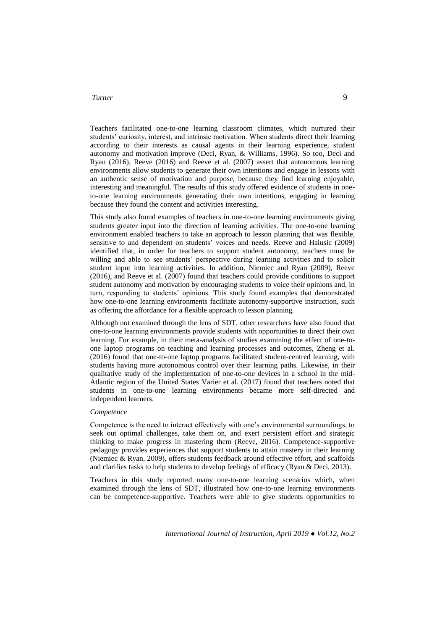Teachers facilitated one-to-one learning classroom climates, which nurtured their students' curiosity, interest, and intrinsic motivation. When students direct their learning according to their interests as causal agents in their learning experience, student autonomy and motivation improve (Deci, Ryan, & Williams, 1996). So too, Deci and Ryan (2016), Reeve (2016) and Reeve et al. (2007) assert that autonomous learning environments allow students to generate their own intentions and engage in lessons with an authentic sense of motivation and purpose, because they find learning enjoyable, interesting and meaningful. The results of this study offered evidence of students in oneto-one learning environments generating their own intentions, engaging in learning because they found the content and activities interesting.

This study also found examples of teachers in one-to-one learning environments giving students greater input into the direction of learning activities. The one-to-one learning environment enabled teachers to take an approach to lesson planning that was flexible, sensitive to and dependent on students' voices and needs. Reeve and Halusic (2009) identified that, in order for teachers to support student autonomy, teachers must be willing and able to see students' perspective during learning activities and to solicit student input into learning activities. In addition, Niemiec and Ryan (2009), Reeve (2016), and Reeve et al. (2007) found that teachers could provide conditions to support student autonomy and motivation by encouraging students to voice their opinions and, in turn, responding to students' opinions. This study found examples that demonstrated how one-to-one learning environments facilitate autonomy-supportive instruction, such as offering the affordance for a flexible approach to lesson planning.

Although not examined through the lens of SDT, other researchers have also found that one-to-one learning environments provide students with opportunities to direct their own learning. For example, in their meta-analysis of studies examining the effect of one-toone laptop programs on teaching and learning processes and outcomes, Zheng et al. (2016) found that one-to-one laptop programs facilitated student-centred learning, with students having more autonomous control over their learning paths. Likewise, in their qualitative study of the implementation of one-to-one devices in a school in the mid-Atlantic region of the United States Varier et al. (2017) found that teachers noted that students in one-to-one learning environments became more self-directed and independent learners.

#### *Competence*

Competence is the need to interact effectively with one's environmental surroundings, to seek out optimal challenges, take them on, and exert persistent effort and strategic thinking to make progress in mastering them (Reeve, 2016). Competence-supportive pedagogy provides experiences that support students to attain mastery in their learning (Niemiec & Ryan, 2009), offers students feedback around effective effort, and scaffolds and clarifies tasks to help students to develop feelings of efficacy (Ryan & Deci, 2013).

Teachers in this study reported many one-to-one learning scenarios which, when examined through the lens of SDT, illustrated how one-to-one learning environments can be competence-supportive. Teachers were able to give students opportunities to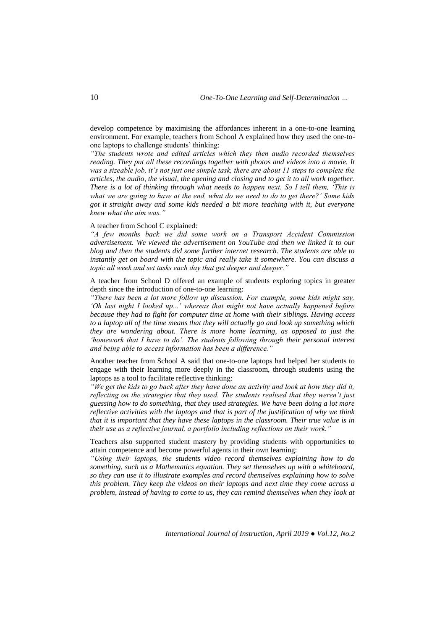develop competence by maximising the affordances inherent in a one-to-one learning environment. For example, teachers from School A explained how they used the one-toone laptops to challenge students' thinking:

*"The students wrote and edited articles which they then audio recorded themselves reading. They put all these recordings together with photos and videos into a movie. It was a sizeable job, it's not just one simple task, there are about 11 steps to complete the articles, the audio, the visual, the opening and closing and to get it to all work together. There is a lot of thinking through what needs to happen next. So I tell them, 'This is what we are going to have at the end, what do we need to do to get there?' Some kids got it straight away and some kids needed a bit more teaching with it, but everyone knew what the aim was."*

### A teacher from School C explained:

*"A few months back we did some work on a Transport Accident Commission advertisement. We viewed the advertisement on YouTube and then we linked it to our blog and then the students did some further internet research. The students are able to instantly get on board with the topic and really take it somewhere. You can discuss a topic all week and set tasks each day that get deeper and deeper."*

A teacher from School D offered an example of students exploring topics in greater depth since the introduction of one-to-one learning:

*"There has been a lot more follow up discussion. For example, some kids might say, 'Oh last night I looked up...' whereas that might not have actually happened before because they had to fight for computer time at home with their siblings. Having access to a laptop all of the time means that they will actually go and look up something which they are wondering about. There is more home learning, as opposed to just the 'homework that I have to do'. The students following through their personal interest and being able to access information has been a difference."*

Another teacher from School A said that one-to-one laptops had helped her students to engage with their learning more deeply in the classroom, through students using the laptops as a tool to facilitate reflective thinking:

*"We get the kids to go back after they have done an activity and look at how they did it, reflecting on the strategies that they used. The students realised that they weren't just guessing how to do something, that they used strategies. We have been doing a lot more reflective activities with the laptops and that is part of the justification of why we think that it is important that they have these laptops in the classroom. Their true value is in their use as a reflective journal, a portfolio including reflections on their work."*

Teachers also supported student mastery by providing students with opportunities to attain competence and become powerful agents in their own learning:

*"Using their laptops, the students video record themselves explaining how to do something, such as a Mathematics equation. They set themselves up with a whiteboard, so they can use it to illustrate examples and record themselves explaining how to solve this problem. They keep the videos on their laptops and next time they come across a problem, instead of having to come to us, they can remind themselves when they look at*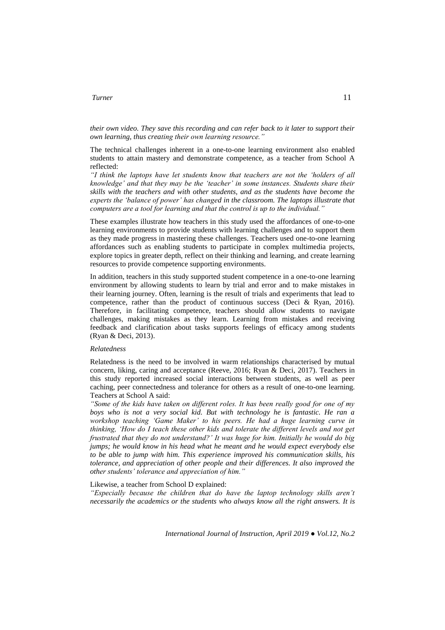*their own video. They save this recording and can refer back to it later to support their own learning, thus creating their own learning resource."*

The technical challenges inherent in a one-to-one learning environment also enabled students to attain mastery and demonstrate competence, as a teacher from School A reflected:

*"I think the laptops have let students know that teachers are not the 'holders of all knowledge' and that they may be the 'teacher' in some instances. Students share their skills with the teachers and with other students, and as the students have become the experts the 'balance of power' has changed in the classroom. The laptops illustrate that computers are a tool for learning and that the control is up to the individual."*

These examples illustrate how teachers in this study used the affordances of one-to-one learning environments to provide students with learning challenges and to support them as they made progress in mastering these challenges. Teachers used one-to-one learning affordances such as enabling students to participate in complex multimedia projects, explore topics in greater depth, reflect on their thinking and learning, and create learning resources to provide competence supporting environments.

In addition, teachers in this study supported student competence in a one-to-one learning environment by allowing students to learn by trial and error and to make mistakes in their learning journey. Often, learning is the result of trials and experiments that lead to competence, rather than the product of continuous success (Deci & Ryan, 2016). Therefore, in facilitating competence, teachers should allow students to navigate challenges, making mistakes as they learn. Learning from mistakes and receiving feedback and clarification about tasks supports feelings of efficacy among students (Ryan & Deci, 2013).

## *Relatedness*

Relatedness is the need to be involved in warm relationships characterised by mutual concern, liking, caring and acceptance (Reeve, 2016; Ryan & Deci, 2017). Teachers in this study reported increased social interactions between students, as well as peer caching, peer connectedness and tolerance for others as a result of one-to-one learning. Teachers at School A said:

*"Some of the kids have taken on different roles. It has been really good for one of my boys who is not a very social kid. But with technology he is fantastic. He ran a workshop teaching 'Game Maker' to his peers. He had a huge learning curve in thinking, 'How do I teach these other kids and tolerate the different levels and not get frustrated that they do not understand?' It was huge for him. Initially he would do big jumps; he would know in his head what he meant and he would expect everybody else to be able to jump with him. This experience improved his communication skills, his tolerance, and appreciation of other people and their differences. It also improved the other students' tolerance and appreciation of him."*

### Likewise, a teacher from School D explained:

*"Especially because the children that do have the laptop technology skills aren't necessarily the academics or the students who always know all the right answers. It is*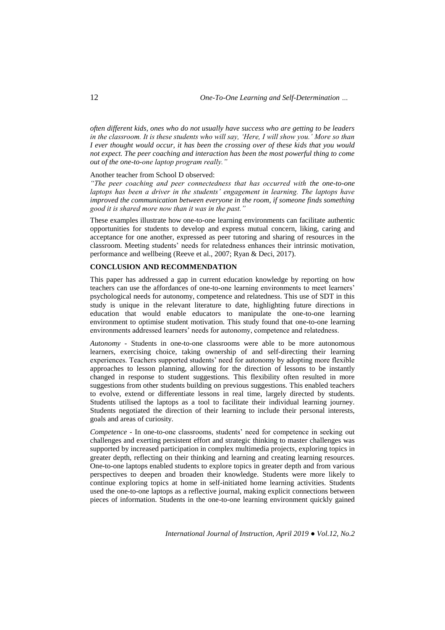*often different kids, ones who do not usually have success who are getting to be leaders in the classroom. It is these students who will say, 'Here, I will show you.' More so than I ever thought would occur, it has been the crossing over of these kids that you would not expect. The peer coaching and interaction has been the most powerful thing to come out of the one-to-one laptop program really."*

#### Another teacher from School D observed:

*"The peer coaching and peer connectedness that has occurred with the one-to-one laptops has been a driver in the students' engagement in learning. The laptops have improved the communication between everyone in the room, if someone finds something good it is shared more now than it was in the past."*

These examples illustrate how one-to-one learning environments can facilitate authentic opportunities for students to develop and express mutual concern, liking, caring and acceptance for one another, expressed as peer tutoring and sharing of resources in the classroom. Meeting students' needs for relatedness enhances their intrinsic motivation, performance and wellbeing (Reeve et al., 2007; Ryan & Deci, 2017).

## **CONCLUSION AND RECOMMENDATION**

This paper has addressed a gap in current education knowledge by reporting on how teachers can use the affordances of one-to-one learning environments to meet learners' psychological needs for autonomy, competence and relatedness. This use of SDT in this study is unique in the relevant literature to date, highlighting future directions in education that would enable educators to manipulate the one-to-one learning environment to optimise student motivation. This study found that one-to-one learning environments addressed learners' needs for autonomy, competence and relatedness.

*Autonomy -* Students in one-to-one classrooms were able to be more autonomous learners, exercising choice, taking ownership of and self-directing their learning experiences. Teachers supported students' need for autonomy by adopting more flexible approaches to lesson planning, allowing for the direction of lessons to be instantly changed in response to student suggestions. This flexibility often resulted in more suggestions from other students building on previous suggestions. This enabled teachers to evolve, extend or differentiate lessons in real time, largely directed by students. Students utilised the laptops as a tool to facilitate their individual learning journey. Students negotiated the direction of their learning to include their personal interests, goals and areas of curiosity.

*Competence -* In one-to-one classrooms, students' need for competence in seeking out challenges and exerting persistent effort and strategic thinking to master challenges was supported by increased participation in complex multimedia projects, exploring topics in greater depth, reflecting on their thinking and learning and creating learning resources. One-to-one laptops enabled students to explore topics in greater depth and from various perspectives to deepen and broaden their knowledge. Students were more likely to continue exploring topics at home in self-initiated home learning activities. Students used the one-to-one laptops as a reflective journal, making explicit connections between pieces of information. Students in the one-to-one learning environment quickly gained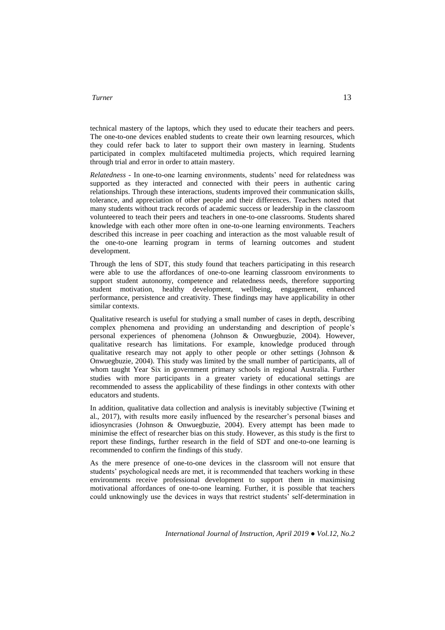## *Turner*<sup>13</sup>

technical mastery of the laptops, which they used to educate their teachers and peers. The one-to-one devices enabled students to create their own learning resources, which they could refer back to later to support their own mastery in learning. Students participated in complex multifaceted multimedia projects, which required learning through trial and error in order to attain mastery.

*Relatedness -* In one-to-one learning environments, students' need for relatedness was supported as they interacted and connected with their peers in authentic caring relationships. Through these interactions, students improved their communication skills, tolerance, and appreciation of other people and their differences. Teachers noted that many students without track records of academic success or leadership in the classroom volunteered to teach their peers and teachers in one-to-one classrooms. Students shared knowledge with each other more often in one-to-one learning environments. Teachers described this increase in peer coaching and interaction as the most valuable result of the one-to-one learning program in terms of learning outcomes and student development.

Through the lens of SDT, this study found that teachers participating in this research were able to use the affordances of one-to-one learning classroom environments to support student autonomy, competence and relatedness needs, therefore supporting student motivation, healthy development, wellbeing, engagement, enhanced performance, persistence and creativity. These findings may have applicability in other similar contexts.

Qualitative research is useful for studying a small number of cases in depth, describing complex phenomena and providing an understanding and description of people's personal experiences of phenomena (Johnson & Onwuegbuzie, 2004). However, qualitative research has limitations. For example, knowledge produced through qualitative research may not apply to other people or other settings (Johnson & Onwuegbuzie, 2004). This study was limited by the small number of participants, all of whom taught Year Six in government primary schools in regional Australia. Further studies with more participants in a greater variety of educational settings are recommended to assess the applicability of these findings in other contexts with other educators and students.

In addition, qualitative data collection and analysis is inevitably subjective (Twining et al., 2017), with results more easily influenced by the researcher's personal biases and idiosyncrasies (Johnson & Onwuegbuzie, 2004). Every attempt has been made to minimise the effect of researcher bias on this study. However, as this study is the first to report these findings, further research in the field of SDT and one-to-one learning is recommended to confirm the findings of this study.

As the mere presence of one-to-one devices in the classroom will not ensure that students' psychological needs are met, it is recommended that teachers working in these environments receive professional development to support them in maximising motivational affordances of one-to-one learning. Further, it is possible that teachers could unknowingly use the devices in ways that restrict students' self-determination in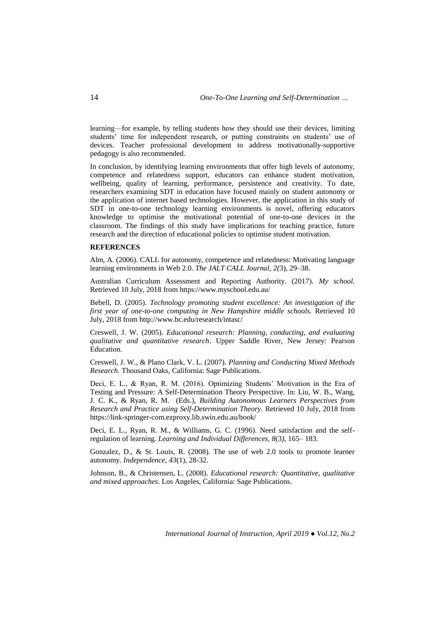learning—for example, by telling students how they should use their devices, limiting students' time for independent research, or putting constraints on students' use of devices. Teacher professional development to address motivationally-supportive pedagogy is also recommended.

In conclusion, by identifying learning environments that offer high levels of autonomy, competence and relatedness support, educators can enhance student motivation, wellbeing, quality of learning, performance, persistence and creativity. To date, researchers examining SDT in education have focused mainly on student autonomy or the application of internet based technologies. However, the application in this study of SDT in one-to-one technology learning environments is novel, offering educators knowledge to optimise the motivational potential of one-to-one devices in the classroom. The findings of this study have implications for teaching practice, future research and the direction of educational policies to optimise student motivation.

#### **REFERENCES**

Alm, A. (2006). CALL for autonomy, competence and relatedness: Motivating language learning environments in Web 2.0. *The JALT CALL Journal, 2(*3), 29–38.

Australian Curriculum Assessment and Reporting Authority. (2017). *My school.*  Retrieved 10 July, 2018 from<https://www.myschool.edu.au/>

Bebell, D. (2005). *Technology promoting student excellence: An investigation of the first year of one-to-one computing in New Hampshire middle schools.* Retrieved 10 July, 2018 from<http://www.bc.edu/research/intasc/>

Creswell, J. W. (2005). *Educational research: Planning, conducting, and evaluating qualitative and quantitative research*. Upper Saddle River, New Jersey: Pearson Education.

Creswell, J. W., & Plano Clark, V. L. (2007). *Planning and Conducting Mixed Methods Research.* Thousand Oaks, California: Sage Publications.

Deci, E. L., & Ryan, R. M. (2016). Optimizing Students' Motivation in the Era of Testing and Pressure: A Self-Determination Theory Perspective. In: Liu, W. B., Wang, J. C. K., & Ryan, R. M. (Eds.), *Building Autonomous Learners Perspectives from Research and Practice using Self-Determination Theory*. Retrieved 10 July, 2018 from <https://link-springer-com.ezproxy.lib.swin.edu.au/book/>

Deci, E. L., Ryan, R. M., & Williams, G. C. (1996). Need satisfaction and the selfregulation of learning. *Learning and Individual Differences, 8*(3*),* 165– 183.

Gonzalez, D., & St. Louis, R. (2008). The use of web 2.0 tools to promote learner autonomy. *Independence*, *43*(1), 28-32.

Johnson, B., & Christensen, L. (2008). *Educational research: Quantitative, qualitative and mixed approaches*. Los Angeles, California: Sage Publications.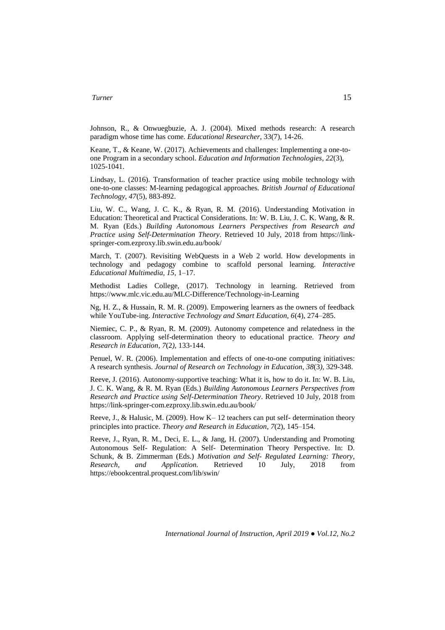Johnson, R., & Onwuegbuzie, A. J. (2004). Mixed methods research: A research paradigm whose time has come. *Educational Researcher*, 33(7), 14-26.

Keane, T., & Keane, W. (2017). Achievements and challenges: Implementing a one-toone Program in a secondary school. *Education and Information Technologies*, *22*(3), 1025-1041.

Lindsay, L. (2016). Transformation of teacher practice using mobile technology with one-to-one classes: M-learning pedagogical approaches. *British Journal of Educational Technology, 47*(5), 883-892.

Liu, W. C., Wang, J. C. K., & Ryan, R. M. (2016). Understanding Motivation in Education: Theoretical and Practical Considerations. In: W. B. Liu, J. C. K. Wang, & R. M. Ryan (Eds.) *Building Autonomous Learners Perspectives from Research and Practice using Self-Determination Theory*. Retrieved 10 July, 2018 from [https://link](https://link-springer-com.ezproxy.lib.swin.edu.au/book)[springer-com.ezproxy.lib.swin.edu.au/book/](https://link-springer-com.ezproxy.lib.swin.edu.au/book)

March, T. (2007). Revisiting WebQuests in a Web 2 world. How developments in technology and pedagogy combine to scaffold personal learning. *Interactive Educational Multimedia, 15,* 1–17.

Methodist Ladies College, (2017). Technology in learning. Retrieved from https://www.mlc.vic.edu.au/MLC-Difference/Technology-in-Learning

Ng, H. Z., & Hussain, R. M. R. (2009). Empowering learners as the owners of feedback while YouTube-ing. *Interactive Technology and Smart Education, 6*(4), 274–285.

Niemiec, C. P., & Ryan, R. M. (2009). Autonomy competence and relatedness in the classroom. Applying self-determination theory to educational practice. *Theory and Research in Education*, *7*(2*),* 133-144.

Penuel, W. R. (2006). Implementation and effects of one-to-one computing initiatives: A research synthesis. *Journal of Research on Technology in Education*, *38*(3*),* 329-348.

Reeve, J. (2016). Autonomy-supportive teaching: What it is, how to do it. In: W. B. Liu, J. C. K. Wang, & R. M. Ryan (Eds.) *Building Autonomous Learners Perspectives from Research and Practice using Self-Determination Theory*. Retrieved 10 July, 2018 from [https://link-springer-com.ezproxy.lib.swin.edu.au/book/](https://link-springer-com.ezproxy.lib.swin.edu.au/book/10.1007%2F978-981-287-630-0)

Reeve, J., & Halusic, M. (2009). How K– 12 teachers can put self- determination theory principles into practice. *Theory and Research in Education*, *7*(2), 145–154.

Reeve, J., Ryan, R. M., Deci, E. L., & Jang, H. (2007). Understanding and Promoting Autonomous Self- Regulation: A Self- Determination Theory Perspective. In: D. Schunk, & B. Zimmerman (Eds.) *Motivation and Self- Regulated Learning: Theory, Research, and Application.* Retrieved 10 July, 2018 from <https://ebookcentral.proquest.com/lib/swin/>